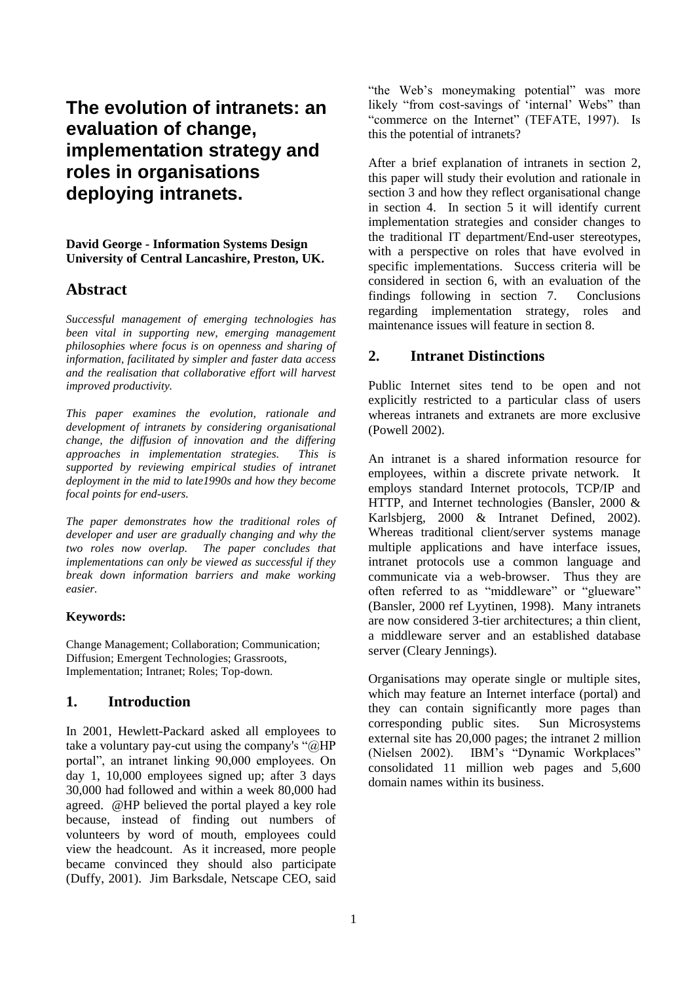# **The evolution of intranets: an evaluation of change, implementation strategy and roles in organisations deploying intranets.**

**David George - Information Systems Design University of Central Lancashire, Preston, UK.**

### **Abstract**

*Successful management of emerging technologies has been vital in supporting new, emerging management philosophies where focus is on openness and sharing of information, facilitated by simpler and faster data access and the realisation that collaborative effort will harvest improved productivity.*

*This paper examines the evolution, rationale and development of intranets by considering organisational change, the diffusion of innovation and the differing approaches in implementation strategies. This is supported by reviewing empirical studies of intranet deployment in the mid to late1990s and how they become focal points for end-users.* 

*The paper demonstrates how the traditional roles of developer and user are gradually changing and why the two roles now overlap. The paper concludes that implementations can only be viewed as successful if they break down information barriers and make working easier.*

#### **Keywords:**

Change Management; Collaboration; Communication; Diffusion; Emergent Technologies; Grassroots, Implementation; Intranet; Roles; Top-down.

### **1. Introduction**

In 2001, Hewlett-Packard asked all employees to take a voluntary pay-cut using the company's " $@HP$ portal", an intranet linking 90,000 employees. On day 1, 10,000 employees signed up; after 3 days 30,000 had followed and within a week 80,000 had agreed. @HP believed the portal played a key role because, instead of finding out numbers of volunteers by word of mouth, employees could view the headcount. As it increased, more people became convinced they should also participate (Duffy, 2001). Jim Barksdale, Netscape CEO, said

"the Web's moneymaking potential" was more likely "from cost-savings of 'internal' Webs" than "commerce on the Internet" (TEFATE, 1997). Is this the potential of intranets?

After a brief explanation of intranets in section 2, this paper will study their evolution and rationale in section 3 and how they reflect organisational change in section 4. In section 5 it will identify current implementation strategies and consider changes to the traditional IT department/End-user stereotypes, with a perspective on roles that have evolved in specific implementations. Success criteria will be considered in section 6, with an evaluation of the findings following in section 7. Conclusions regarding implementation strategy, roles and maintenance issues will feature in section 8.

# **2. Intranet Distinctions**

Public Internet sites tend to be open and not explicitly restricted to a particular class of users whereas intranets and extranets are more exclusive (Powell 2002).

An intranet is a shared information resource for employees, within a discrete private network. It employs standard Internet protocols, TCP/IP and HTTP, and Internet technologies (Bansler, 2000 & Karlsbjerg, 2000 & Intranet Defined, 2002). Whereas traditional client/server systems manage multiple applications and have interface issues, intranet protocols use a common language and communicate via a web-browser. Thus they are often referred to as "middleware" or "glueware" (Bansler, 2000 ref Lyytinen, 1998). Many intranets are now considered 3-tier architectures; a thin client, a middleware server and an established database server (Cleary Jennings).

Organisations may operate single or multiple sites, which may feature an Internet interface (portal) and they can contain significantly more pages than corresponding public sites. Sun Microsystems external site has 20,000 pages; the intranet 2 million (Nielsen 2002). IBM's "Dynamic Workplaces" consolidated 11 million web pages and 5,600 domain names within its business.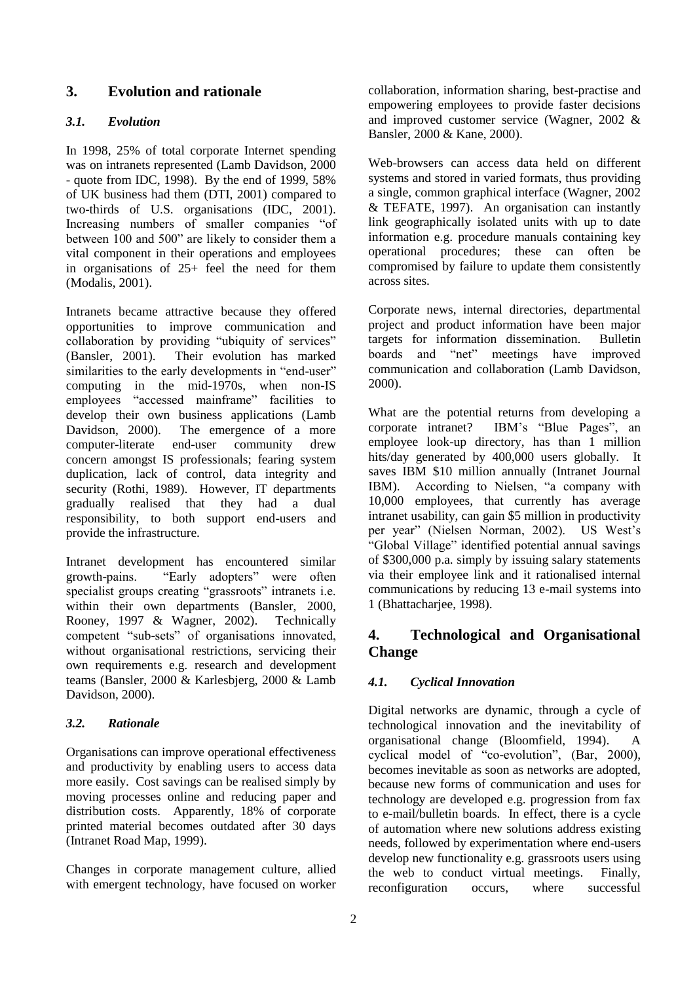# **3. Evolution and rationale**

### *3.1. Evolution*

In 1998, 25% of total corporate Internet spending was on intranets represented (Lamb Davidson, 2000 - quote from IDC, 1998). By the end of 1999, 58% of UK business had them (DTI, 2001) compared to two-thirds of U.S. organisations (IDC, 2001). Increasing numbers of smaller companies "of between 100 and 500" are likely to consider them a vital component in their operations and employees in organisations of 25+ feel the need for them (Modalis, 2001).

Intranets became attractive because they offered opportunities to improve communication and collaboration by providing "ubiquity of services" (Bansler, 2001). Their evolution has marked similarities to the early developments in "end-user" computing in the mid-1970s, when non-IS employees "accessed mainframe" facilities to develop their own business applications (Lamb Davidson, 2000). The emergence of a more computer-literate end-user community drew concern amongst IS professionals; fearing system duplication, lack of control, data integrity and security (Rothi, 1989). However, IT departments gradually realised that they had a dual responsibility, to both support end-users and provide the infrastructure.

Intranet development has encountered similar growth-pains. "Early adopters" were often specialist groups creating "grassroots" intranets i.e. within their own departments (Bansler, 2000, Rooney, 1997 & Wagner, 2002). Technically competent "sub-sets" of organisations innovated, without organisational restrictions, servicing their own requirements e.g. research and development teams (Bansler, 2000 & Karlesbjerg, 2000 & Lamb Davidson, 2000).

### *3.2. Rationale*

Organisations can improve operational effectiveness and productivity by enabling users to access data more easily. Cost savings can be realised simply by moving processes online and reducing paper and distribution costs. Apparently, 18% of corporate printed material becomes outdated after 30 days (Intranet Road Map, 1999).

Changes in corporate management culture, allied with emergent technology, have focused on worker collaboration, information sharing, best-practise and empowering employees to provide faster decisions and improved customer service (Wagner, 2002 & Bansler, 2000 & Kane, 2000).

Web-browsers can access data held on different systems and stored in varied formats, thus providing a single, common graphical interface (Wagner, 2002 & TEFATE, 1997). An organisation can instantly link geographically isolated units with up to date information e.g. procedure manuals containing key operational procedures; these can often be compromised by failure to update them consistently across sites.

Corporate news, internal directories, departmental project and product information have been major targets for information dissemination. Bulletin boards and "net" meetings have improved communication and collaboration (Lamb Davidson, 2000).

What are the potential returns from developing a corporate intranet? IBM's "Blue Pages", an employee look-up directory, has than 1 million hits/day generated by 400,000 users globally. It saves IBM \$10 million annually (Intranet Journal IBM). According to Nielsen, "a company with 10,000 employees, that currently has average intranet usability, can gain \$5 million in productivity per year" (Nielsen Norman, 2002). US West's "Global Village" identified potential annual savings of \$300,000 p.a. simply by issuing salary statements via their employee link and it rationalised internal communications by reducing 13 e-mail systems into 1 (Bhattacharjee, 1998).

# **4. Technological and Organisational Change**

# *4.1. Cyclical Innovation*

Digital networks are dynamic, through a cycle of technological innovation and the inevitability of organisational change (Bloomfield, 1994). A cyclical model of "co-evolution", (Bar, 2000), becomes inevitable as soon as networks are adopted, because new forms of communication and uses for technology are developed e.g. progression from fax to e-mail/bulletin boards. In effect, there is a cycle of automation where new solutions address existing needs, followed by experimentation where end-users develop new functionality e.g. grassroots users using the web to conduct virtual meetings. Finally, reconfiguration occurs, where successful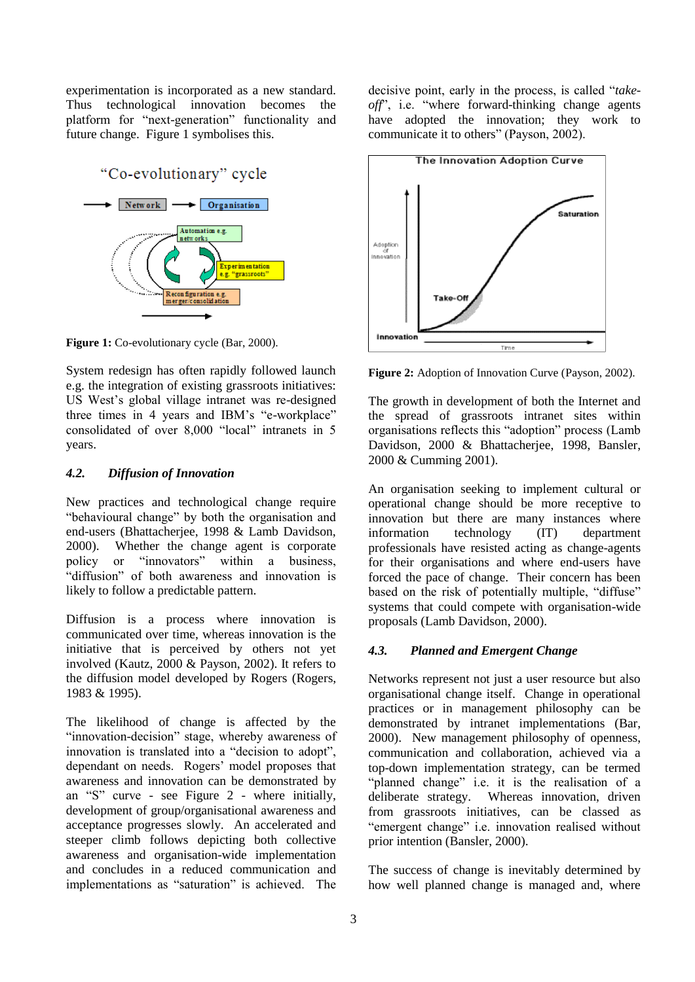experimentation is incorporated as a new standard. Thus technological innovation becomes the platform for "next-generation" functionality and future change. Figure 1 symbolises this.



**Figure 1:** Co-evolutionary cycle (Bar, 2000).

System redesign has often rapidly followed launch e.g. the integration of existing grassroots initiatives: US West's global village intranet was re-designed three times in 4 years and IBM's "e-workplace" consolidated of over 8,000 "local" intranets in 5 years.

#### *4.2. Diffusion of Innovation*

New practices and technological change require "behavioural change" by both the organisation and end-users (Bhattacherjee, 1998 & Lamb Davidson, 2000). Whether the change agent is corporate policy or "innovators" within a business, "diffusion" of both awareness and innovation is likely to follow a predictable pattern.

Diffusion is a process where innovation is communicated over time, whereas innovation is the initiative that is perceived by others not yet involved (Kautz, 2000 & Payson, 2002). It refers to the diffusion model developed by Rogers (Rogers, 1983 & 1995).

The likelihood of change is affected by the "innovation-decision" stage, whereby awareness of innovation is translated into a "decision to adopt", dependant on needs. Rogers' model proposes that awareness and innovation can be demonstrated by an "S" curve - see Figure 2 - where initially, development of group/organisational awareness and acceptance progresses slowly. An accelerated and steeper climb follows depicting both collective awareness and organisation-wide implementation and concludes in a reduced communication and implementations as "saturation" is achieved. The

decisive point, early in the process, is called "*takeoff*", i.e. "where forward-thinking change agents have adopted the innovation; they work to communicate it to others" (Payson, 2002).



**Figure 2:** Adoption of Innovation Curve (Payson, 2002).

The growth in development of both the Internet and the spread of grassroots intranet sites within organisations reflects this "adoption" process (Lamb Davidson, 2000 & Bhattacherjee, 1998, Bansler, 2000 & Cumming 2001).

An organisation seeking to implement cultural or operational change should be more receptive to innovation but there are many instances where information technology (IT) department professionals have resisted acting as change-agents for their organisations and where end-users have forced the pace of change. Their concern has been based on the risk of potentially multiple, "diffuse" systems that could compete with organisation-wide proposals (Lamb Davidson, 2000).

# *4.3. Planned and Emergent Change*

Networks represent not just a user resource but also organisational change itself. Change in operational practices or in management philosophy can be demonstrated by intranet implementations (Bar, 2000). New management philosophy of openness, communication and collaboration, achieved via a top-down implementation strategy, can be termed "planned change" i.e. it is the realisation of a deliberate strategy. Whereas innovation, driven from grassroots initiatives, can be classed as "emergent change" i.e. innovation realised without prior intention (Bansler, 2000).

The success of change is inevitably determined by how well planned change is managed and, where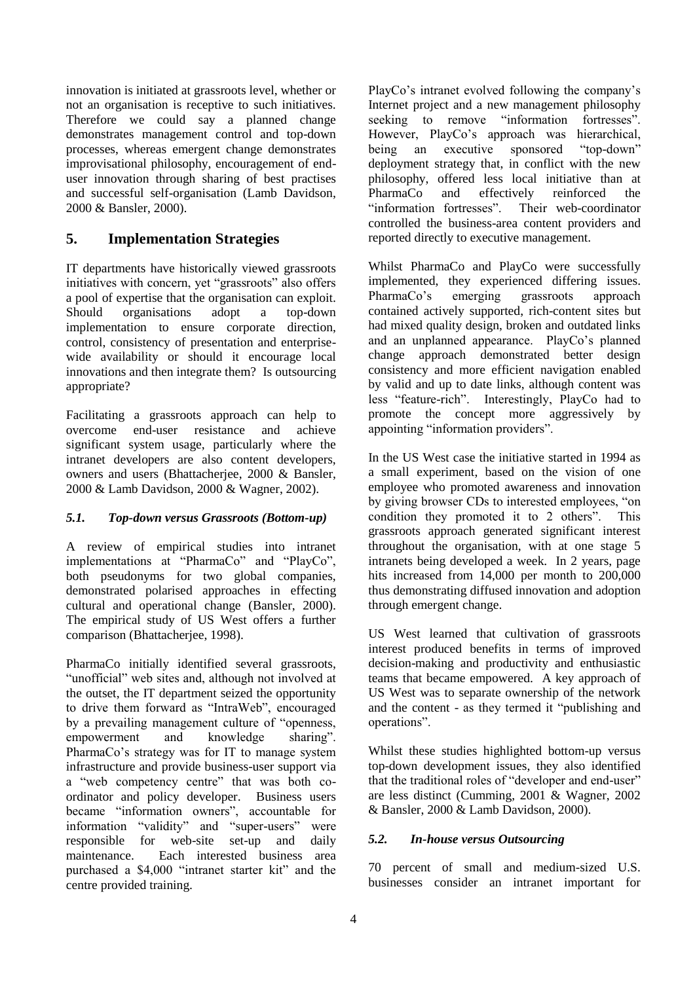innovation is initiated at grassroots level, whether or not an organisation is receptive to such initiatives. Therefore we could say a planned change demonstrates management control and top-down processes, whereas emergent change demonstrates improvisational philosophy, encouragement of enduser innovation through sharing of best practises and successful self-organisation (Lamb Davidson, 2000 & Bansler, 2000).

# **5. Implementation Strategies**

IT departments have historically viewed grassroots initiatives with concern, yet "grassroots" also offers a pool of expertise that the organisation can exploit. Should organisations adopt a top-down implementation to ensure corporate direction, control, consistency of presentation and enterprisewide availability or should it encourage local innovations and then integrate them? Is outsourcing appropriate?

Facilitating a grassroots approach can help to overcome end-user resistance and achieve significant system usage, particularly where the intranet developers are also content developers, owners and users (Bhattacherjee, 2000 & Bansler, 2000 & Lamb Davidson, 2000 & Wagner, 2002).

### *5.1. Top-down versus Grassroots (Bottom-up)*

A review of empirical studies into intranet implementations at "PharmaCo" and "PlayCo", both pseudonyms for two global companies, demonstrated polarised approaches in effecting cultural and operational change (Bansler, 2000). The empirical study of US West offers a further comparison (Bhattacherjee, 1998).

PharmaCo initially identified several grassroots, "unofficial" web sites and, although not involved at the outset, the IT department seized the opportunity to drive them forward as "IntraWeb", encouraged by a prevailing management culture of "openness, empowerment and knowledge sharing". PharmaCo's strategy was for IT to manage system infrastructure and provide business-user support via a "web competency centre" that was both coordinator and policy developer. Business users became "information owners", accountable for information "validity" and "super-users" were responsible for web-site set-up and daily maintenance. Each interested business area purchased a \$4,000 "intranet starter kit" and the centre provided training.

PlayCo's intranet evolved following the company's Internet project and a new management philosophy seeking to remove "information fortresses". However, PlayCo's approach was hierarchical, being an executive sponsored "top-down" deployment strategy that, in conflict with the new philosophy, offered less local initiative than at PharmaCo and effectively reinforced the "information fortresses". Their web-coordinator controlled the business-area content providers and reported directly to executive management.

Whilst PharmaCo and PlayCo were successfully implemented, they experienced differing issues. PharmaCo's emerging grassroots approach contained actively supported, rich-content sites but had mixed quality design, broken and outdated links and an unplanned appearance. PlayCo's planned change approach demonstrated better design consistency and more efficient navigation enabled by valid and up to date links, although content was less "feature-rich". Interestingly, PlayCo had to promote the concept more aggressively by appointing "information providers".

In the US West case the initiative started in 1994 as a small experiment, based on the vision of one employee who promoted awareness and innovation by giving browser CDs to interested employees, "on condition they promoted it to 2 others". This grassroots approach generated significant interest throughout the organisation, with at one stage 5 intranets being developed a week. In 2 years, page hits increased from 14,000 per month to 200,000 thus demonstrating diffused innovation and adoption through emergent change.

US West learned that cultivation of grassroots interest produced benefits in terms of improved decision-making and productivity and enthusiastic teams that became empowered. A key approach of US West was to separate ownership of the network and the content - as they termed it "publishing and operations".

Whilst these studies highlighted bottom-up versus top-down development issues, they also identified that the traditional roles of "developer and end-user" are less distinct (Cumming, 2001 & Wagner, 2002 & Bansler, 2000 & Lamb Davidson, 2000).

### *5.2. In-house versus Outsourcing*

70 percent of small and medium-sized U.S. businesses consider an intranet important for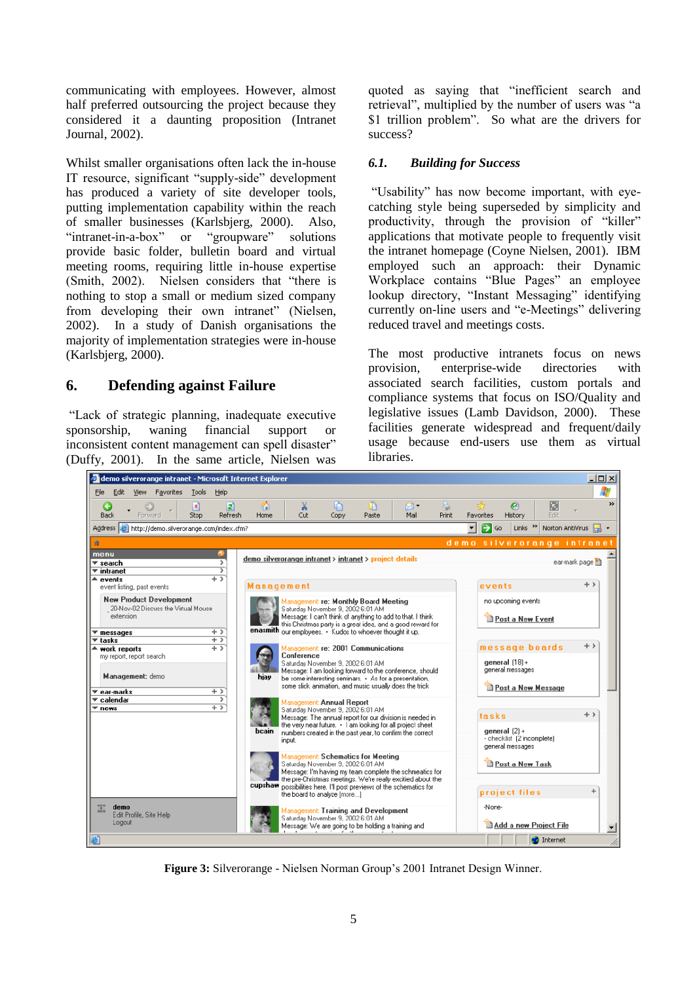communicating with employees. However, almost half preferred outsourcing the project because they considered it a daunting proposition (Intranet Journal, 2002).

Whilst smaller organisations often lack the in-house IT resource, significant "supply-side" development has produced a variety of site developer tools, putting implementation capability within the reach of smaller businesses (Karlsbjerg, 2000). Also, "intranet-in-a-box" or "groupware" solutions provide basic folder, bulletin board and virtual meeting rooms, requiring little in-house expertise (Smith, 2002). Nielsen considers that "there is nothing to stop a small or medium sized company from developing their own intranet" (Nielsen, 2002). In a study of Danish organisations the majority of implementation strategies were in-house (Karlsbjerg, 2000).

# **6. Defending against Failure**

"Lack of strategic planning, inadequate executive sponsorship, waning financial support or inconsistent content management can spell disaster" (Duffy, 2001). In the same article, Nielsen was quoted as saying that "inefficient search and retrieval", multiplied by the number of users was "a \$1 trillion problem". So what are the drivers for success?

#### *6.1. Building for Success*

"Usability" has now become important, with eyecatching style being superseded by simplicity and productivity, through the provision of "killer" applications that motivate people to frequently visit the intranet homepage (Coyne Nielsen, 2001). IBM employed such an approach: their Dynamic Workplace contains "Blue Pages" an employee lookup directory, "Instant Messaging" identifying currently on-line users and "e-Meetings" delivering reduced travel and meetings costs.

The most productive intranets focus on news provision, enterprise-wide directories with associated search facilities, custom portals and compliance systems that focus on ISO/Quality and legislative issues (Lamb Davidson, 2000). These facilities generate widespread and frequent/daily usage because end-users use them as virtual libraries.



**Figure 3:** Silverorange - Nielsen Norman Group's 2001 Intranet Design Winner.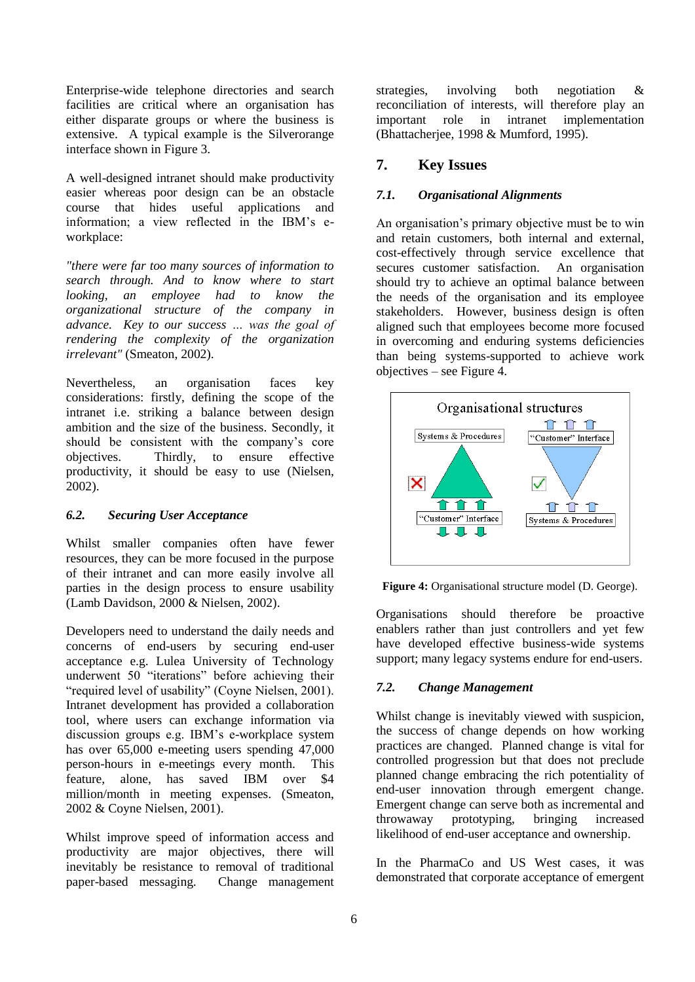Enterprise-wide telephone directories and search facilities are critical where an organisation has either disparate groups or where the business is extensive. A typical example is the Silverorange interface shown in Figure 3.

A well-designed intranet should make productivity easier whereas poor design can be an obstacle course that hides useful applications and information; a view reflected in the IBM's eworkplace:

*"there were far too many sources of information to search through. And to know where to start looking, an employee had to know the organizational structure of the company in advance. Key to our success … was the goal of rendering the complexity of the organization irrelevant"* (Smeaton, 2002).

Nevertheless, an organisation faces key considerations: firstly, defining the scope of the intranet i.e. striking a balance between design ambition and the size of the business. Secondly, it should be consistent with the company's core objectives. Thirdly, to ensure effective productivity, it should be easy to use (Nielsen, 2002).

### *6.2. Securing User Acceptance*

Whilst smaller companies often have fewer resources, they can be more focused in the purpose of their intranet and can more easily involve all parties in the design process to ensure usability (Lamb Davidson, 2000 & Nielsen, 2002).

Developers need to understand the daily needs and concerns of end-users by securing end-user acceptance e.g. Lulea University of Technology underwent 50 "iterations" before achieving their "required level of usability" (Coyne Nielsen, 2001). Intranet development has provided a collaboration tool, where users can exchange information via discussion groups e.g. IBM's e-workplace system has over 65,000 e-meeting users spending 47,000 person-hours in e-meetings every month. This feature, alone, has saved IBM over \$4 million/month in meeting expenses. (Smeaton, 2002 & Coyne Nielsen, 2001).

Whilst improve speed of information access and productivity are major objectives, there will inevitably be resistance to removal of traditional paper-based messaging. Change management

strategies, involving both negotiation & reconciliation of interests, will therefore play an important role in intranet implementation (Bhattacherjee, 1998 & Mumford, 1995).

# **7. Key Issues**

### *7.1. Organisational Alignments*

An organisation's primary objective must be to win and retain customers, both internal and external, cost-effectively through service excellence that secures customer satisfaction. An organisation should try to achieve an optimal balance between the needs of the organisation and its employee stakeholders. However, business design is often aligned such that employees become more focused in overcoming and enduring systems deficiencies than being systems-supported to achieve work objectives – see Figure 4.



**Figure 4:** Organisational structure model (D. George).

Organisations should therefore be proactive enablers rather than just controllers and yet few have developed effective business-wide systems support; many legacy systems endure for end-users.

### *7.2. Change Management*

Whilst change is inevitably viewed with suspicion, the success of change depends on how working practices are changed. Planned change is vital for controlled progression but that does not preclude planned change embracing the rich potentiality of end-user innovation through emergent change. Emergent change can serve both as incremental and throwaway prototyping, bringing increased likelihood of end-user acceptance and ownership.

In the PharmaCo and US West cases, it was demonstrated that corporate acceptance of emergent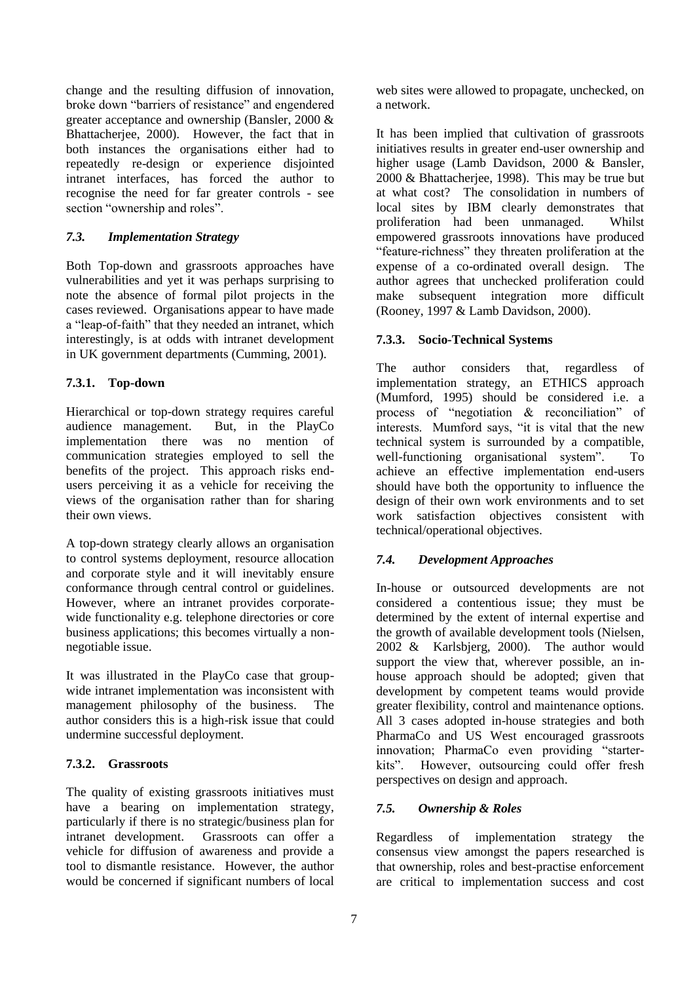change and the resulting diffusion of innovation, broke down "barriers of resistance" and engendered greater acceptance and ownership (Bansler, 2000 & Bhattacherjee, 2000). However, the fact that in both instances the organisations either had to repeatedly re-design or experience disjointed intranet interfaces, has forced the author to recognise the need for far greater controls - see section "ownership and roles".

### *7.3. Implementation Strategy*

Both Top-down and grassroots approaches have vulnerabilities and yet it was perhaps surprising to note the absence of formal pilot projects in the cases reviewed. Organisations appear to have made a "leap-of-faith" that they needed an intranet, which interestingly, is at odds with intranet development in UK government departments (Cumming, 2001).

### **7.3.1. Top-down**

Hierarchical or top-down strategy requires careful audience management. But, in the PlayCo implementation there was no mention of communication strategies employed to sell the benefits of the project. This approach risks endusers perceiving it as a vehicle for receiving the views of the organisation rather than for sharing their own views.

A top-down strategy clearly allows an organisation to control systems deployment, resource allocation and corporate style and it will inevitably ensure conformance through central control or guidelines. However, where an intranet provides corporatewide functionality e.g. telephone directories or core business applications; this becomes virtually a nonnegotiable issue.

It was illustrated in the PlayCo case that groupwide intranet implementation was inconsistent with management philosophy of the business. The author considers this is a high-risk issue that could undermine successful deployment.

### **7.3.2. Grassroots**

The quality of existing grassroots initiatives must have a bearing on implementation strategy, particularly if there is no strategic/business plan for intranet development. Grassroots can offer a vehicle for diffusion of awareness and provide a tool to dismantle resistance. However, the author would be concerned if significant numbers of local web sites were allowed to propagate, unchecked, on a network.

It has been implied that cultivation of grassroots initiatives results in greater end-user ownership and higher usage (Lamb Davidson, 2000 & Bansler, 2000 & Bhattacherjee, 1998). This may be true but at what cost? The consolidation in numbers of local sites by IBM clearly demonstrates that proliferation had been unmanaged. Whilst empowered grassroots innovations have produced "feature-richness" they threaten proliferation at the expense of a co-ordinated overall design. The author agrees that unchecked proliferation could make subsequent integration more difficult (Rooney, 1997 & Lamb Davidson, 2000).

### **7.3.3. Socio-Technical Systems**

The author considers that, regardless of implementation strategy, an ETHICS approach (Mumford, 1995) should be considered i.e. a process of "negotiation & reconciliation" of interests. Mumford says, "it is vital that the new technical system is surrounded by a compatible, well-functioning organisational system". To achieve an effective implementation end-users should have both the opportunity to influence the design of their own work environments and to set work satisfaction objectives consistent with technical/operational objectives.

### *7.4. Development Approaches*

In-house or outsourced developments are not considered a contentious issue; they must be determined by the extent of internal expertise and the growth of available development tools (Nielsen, 2002 & Karlsbjerg, 2000). The author would support the view that, wherever possible, an inhouse approach should be adopted; given that development by competent teams would provide greater flexibility, control and maintenance options. All 3 cases adopted in-house strategies and both PharmaCo and US West encouraged grassroots innovation; PharmaCo even providing "starterkits". However, outsourcing could offer fresh perspectives on design and approach.

# *7.5. Ownership & Roles*

Regardless of implementation strategy the consensus view amongst the papers researched is that ownership, roles and best-practise enforcement are critical to implementation success and cost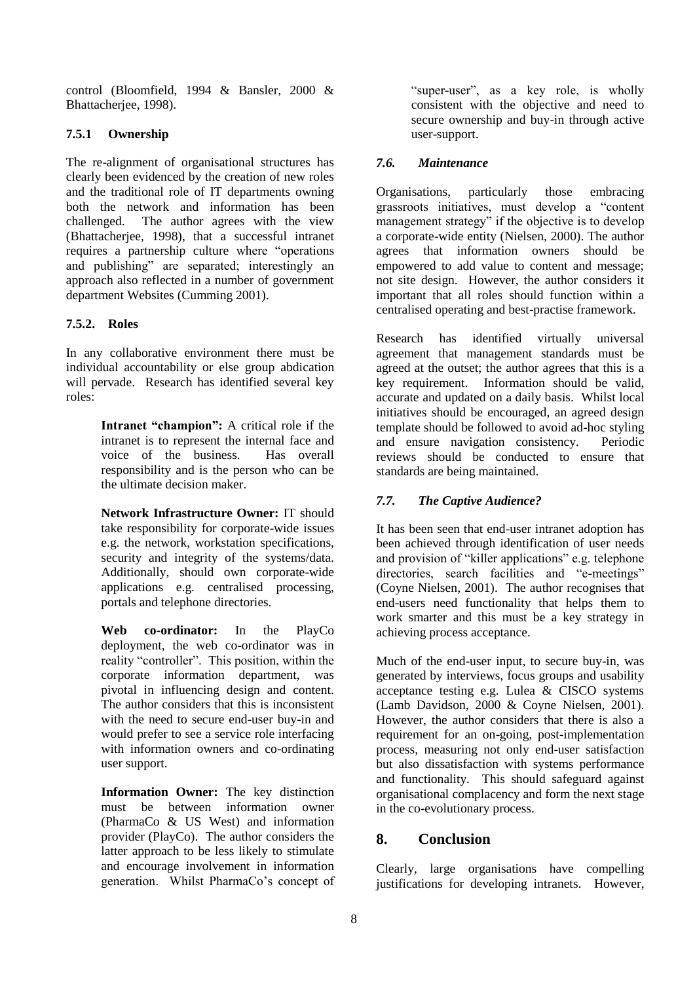control (Bloomfield, 1994 & Bansler, 2000 & Bhattacherjee, 1998).

### **7.5.1 Ownership**

The re-alignment of organisational structures has clearly been evidenced by the creation of new roles and the traditional role of IT departments owning both the network and information has been challenged. The author agrees with the view (Bhattacherjee, 1998), that a successful intranet requires a partnership culture where "operations and publishing" are separated; interestingly an approach also reflected in a number of government department Websites (Cumming 2001).

### **7.5.2. Roles**

In any collaborative environment there must be individual accountability or else group abdication will pervade. Research has identified several key roles:

> **Intranet "champion":** A critical role if the intranet is to represent the internal face and voice of the business. Has overall responsibility and is the person who can be the ultimate decision maker.

> **Network Infrastructure Owner:** IT should take responsibility for corporate-wide issues e.g. the network, workstation specifications, security and integrity of the systems/data. Additionally, should own corporate-wide applications e.g. centralised processing, portals and telephone directories.

> **Web co-ordinator:** In the PlayCo deployment, the web co-ordinator was in reality "controller". This position, within the corporate information department, was pivotal in influencing design and content. The author considers that this is inconsistent with the need to secure end-user buy-in and would prefer to see a service role interfacing with information owners and co-ordinating user support.

> **Information Owner:** The key distinction must be between information owner (PharmaCo & US West) and information provider (PlayCo). The author considers the latter approach to be less likely to stimulate and encourage involvement in information generation. Whilst PharmaCo's concept of

"super-user", as a key role, is wholly consistent with the objective and need to secure ownership and buy-in through active user-support.

### *7.6. Maintenance*

Organisations, particularly those embracing grassroots initiatives, must develop a "content management strategy" if the objective is to develop a corporate-wide entity (Nielsen, 2000). The author agrees that information owners should be empowered to add value to content and message; not site design. However, the author considers it important that all roles should function within a centralised operating and best-practise framework.

Research has identified virtually universal agreement that management standards must be agreed at the outset; the author agrees that this is a key requirement. Information should be valid, accurate and updated on a daily basis. Whilst local initiatives should be encouraged, an agreed design template should be followed to avoid ad-hoc styling and ensure navigation consistency. Periodic reviews should be conducted to ensure that standards are being maintained.

# *7.7. The Captive Audience?*

It has been seen that end-user intranet adoption has been achieved through identification of user needs and provision of "killer applications" e.g. telephone directories, search facilities and "e-meetings" (Coyne Nielsen, 2001). The author recognises that end-users need functionality that helps them to work smarter and this must be a key strategy in achieving process acceptance.

Much of the end-user input, to secure buy-in, was generated by interviews, focus groups and usability acceptance testing e.g. Lulea & CISCO systems (Lamb Davidson, 2000 & Coyne Nielsen, 2001). However, the author considers that there is also a requirement for an on-going, post-implementation process, measuring not only end-user satisfaction but also dissatisfaction with systems performance and functionality. This should safeguard against organisational complacency and form the next stage in the co-evolutionary process.

# **8. Conclusion**

Clearly, large organisations have compelling justifications for developing intranets. However,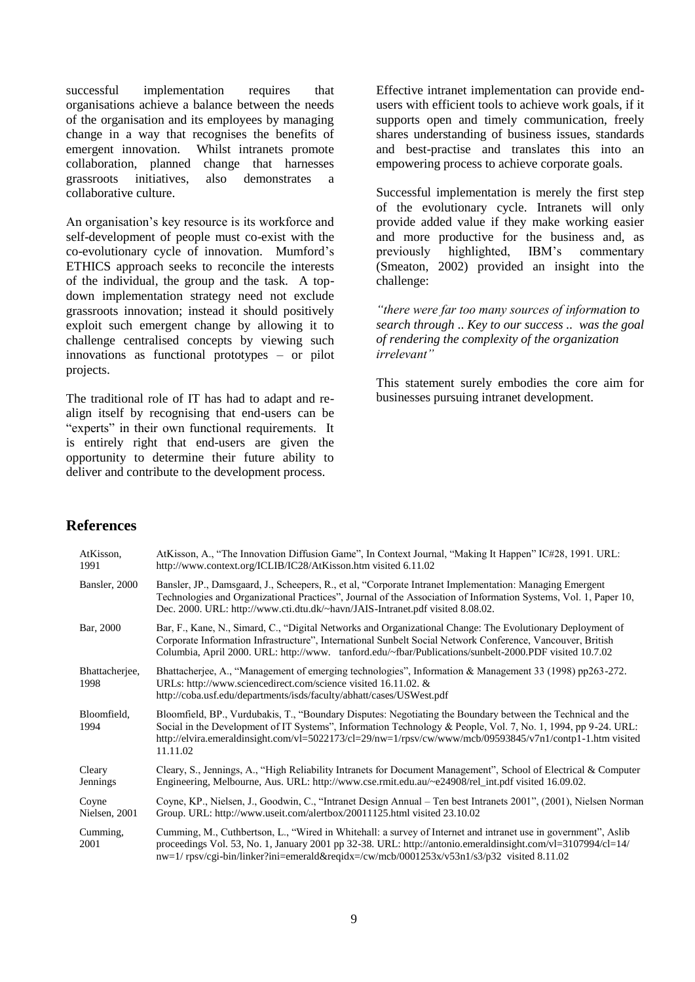successful implementation requires that organisations achieve a balance between the needs of the organisation and its employees by managing change in a way that recognises the benefits of emergent innovation. Whilst intranets promote collaboration, planned change that harnesses grassroots initiatives, also demonstrates a collaborative culture.

An organisation's key resource is its workforce and self-development of people must co-exist with the co-evolutionary cycle of innovation. Mumford's ETHICS approach seeks to reconcile the interests of the individual, the group and the task. A topdown implementation strategy need not exclude grassroots innovation; instead it should positively exploit such emergent change by allowing it to challenge centralised concepts by viewing such innovations as functional prototypes – or pilot projects.

The traditional role of IT has had to adapt and realign itself by recognising that end-users can be "experts" in their own functional requirements. It is entirely right that end-users are given the opportunity to determine their future ability to deliver and contribute to the development process.

Effective intranet implementation can provide endusers with efficient tools to achieve work goals, if it supports open and timely communication, freely shares understanding of business issues, standards and best-practise and translates this into an empowering process to achieve corporate goals.

Successful implementation is merely the first step of the evolutionary cycle. Intranets will only provide added value if they make working easier and more productive for the business and, as previously highlighted, IBM's commentary (Smeaton, 2002) provided an insight into the challenge:

*"there were far too many sources of information to search through* .. *Key to our success .. was the goal of rendering the complexity of the organization irrelevant"*

This statement surely embodies the core aim for businesses pursuing intranet development.

# **References**

| AtKisson,<br>1991      | AtKisson, A., "The Innovation Diffusion Game", In Context Journal, "Making It Happen" IC#28, 1991. URL:<br>http://www.context.org/ICLIB/IC28/AtKisson.htm visited 6.11.02                                                                                                                                                                             |
|------------------------|-------------------------------------------------------------------------------------------------------------------------------------------------------------------------------------------------------------------------------------------------------------------------------------------------------------------------------------------------------|
| Bansler, 2000          | Bansler, JP., Damsgaard, J., Scheepers, R., et al, "Corporate Intranet Implementation: Managing Emergent<br>Technologies and Organizational Practices", Journal of the Association of Information Systems, Vol. 1, Paper 10,<br>Dec. 2000. URL: http://www.cti.dtu.dk/~havn/JAIS-Intranet.pdf visited 8.08.02.                                        |
| Bar, 2000              | Bar, F., Kane, N., Simard, C., "Digital Networks and Organizational Change: The Evolutionary Deployment of<br>Corporate Information Infrastructure", International Sunbelt Social Network Conference, Vancouver, British<br>Columbia, April 2000. URL: http://www. tanford.edu/~fbar/Publications/sunbelt-2000.PDF visited 10.7.02                    |
| Bhattacherjee,<br>1998 | Bhattacherjee, A., "Management of emerging technologies", Information & Management 33 (1998) pp263-272.<br>URLs: http://www.sciencedirect.com/science visited 16.11.02. &<br>http://coba.usf.edu/departments/isds/faculty/abhatt/cases/USWest.pdf                                                                                                     |
| Bloomfield,<br>1994    | Bloomfield, BP., Vurdubakis, T., "Boundary Disputes: Negotiating the Boundary between the Technical and the<br>Social in the Development of IT Systems", Information Technology & People, Vol. 7, No. 1, 1994, pp 9-24. URL:<br>http://elvira.emeraldinsight.com/vl=5022173/cl=29/nw=1/rpsv/cw/www/mcb/09593845/v7n1/contp1-1.htm visited<br>11.11.02 |
| Cleary<br>Jennings     | Cleary, S., Jennings, A., "High Reliability Intranets for Document Management", School of Electrical & Computer<br>Engineering, Melbourne, Aus. URL: http://www.cse.rmit.edu.au/~e24908/rel_int.pdf visited 16.09.02.                                                                                                                                 |
| Coyne<br>Nielsen, 2001 | Coyne, KP., Nielsen, J., Goodwin, C., "Intranet Design Annual – Ten best Intranets 2001", (2001), Nielsen Norman<br>Group. URL: http://www.useit.com/alertbox/20011125.html visited 23.10.02                                                                                                                                                          |
| Cumming,<br>2001       | Cumming, M., Cuthbertson, L., "Wired in Whitehall: a survey of Internet and intranet use in government", Aslib<br>proceedings Vol. 53, No. 1, January 2001 pp 32-38. URL: http://antonio.emeraldinsight.com/vl=3107994/cl=14/<br>$nw=1$ /rpsv/cgi-bin/linker?ini=emerald&reqidx=/cw/mcb/0001253x/v53n1/s3/p32 visited 8.11.02                         |